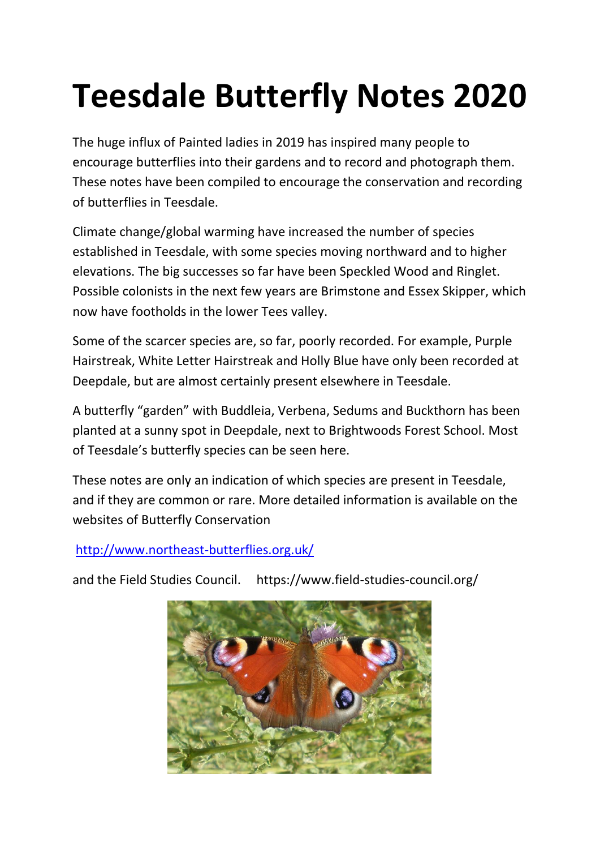## **Teesdale Butterfly Notes 2020**

The huge influx of Painted ladies in 2019 has inspired many people to encourage butterflies into their gardens and to record and photograph them. These notes have been compiled to encourage the conservation and recording of butterflies in Teesdale.

Climate change/global warming have increased the number of species established in Teesdale, with some species moving northward and to higher elevations. The big successes so far have been Speckled Wood and Ringlet. Possible colonists in the next few years are Brimstone and Essex Skipper, which now have footholds in the lower Tees valley.

Some of the scarcer species are, so far, poorly recorded. For example, Purple Hairstreak, White Letter Hairstreak and Holly Blue have only been recorded at Deepdale, but are almost certainly present elsewhere in Teesdale.

A butterfly "garden" with Buddleia, Verbena, Sedums and Buckthorn has been planted at a sunny spot in Deepdale, next to Brightwoods Forest School. Most of Teesdale's butterfly species can be seen here.

These notes are only an indication of which species are present in Teesdale, and if they are common or rare. More detailed information is available on the websites of Butterfly Conservation

<http://www.northeast-butterflies.org.uk/>

and the Field Studies Council. https://www.field-studies-council.org/

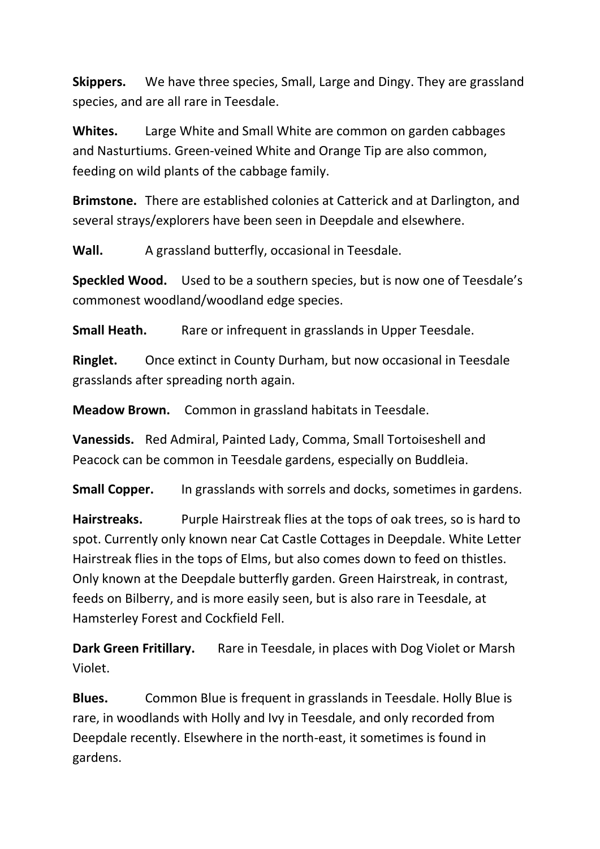**Skippers.** We have three species, Small, Large and Dingy. They are grassland species, and are all rare in Teesdale.

**Whites.** Large White and Small White are common on garden cabbages and Nasturtiums. Green-veined White and Orange Tip are also common, feeding on wild plants of the cabbage family.

**Brimstone.** There are established colonies at Catterick and at Darlington, and several strays/explorers have been seen in Deepdale and elsewhere.

**Wall.** A grassland butterfly, occasional in Teesdale.

**Speckled Wood.** Used to be a southern species, but is now one of Teesdale's commonest woodland/woodland edge species.

**Small Heath.** Rare or infrequent in grasslands in Upper Teesdale.

**Ringlet.** Once extinct in County Durham, but now occasional in Teesdale grasslands after spreading north again.

**Meadow Brown.** Common in grassland habitats in Teesdale.

**Vanessids.** Red Admiral, Painted Lady, Comma, Small Tortoiseshell and Peacock can be common in Teesdale gardens, especially on Buddleia.

**Small Copper.** In grasslands with sorrels and docks, sometimes in gardens.

**Hairstreaks.** Purple Hairstreak flies at the tops of oak trees, so is hard to spot. Currently only known near Cat Castle Cottages in Deepdale. White Letter Hairstreak flies in the tops of Elms, but also comes down to feed on thistles. Only known at the Deepdale butterfly garden. Green Hairstreak, in contrast, feeds on Bilberry, and is more easily seen, but is also rare in Teesdale, at Hamsterley Forest and Cockfield Fell.

**Dark Green Fritillary.** Rare in Teesdale, in places with Dog Violet or Marsh Violet.

**Blues.** Common Blue is frequent in grasslands in Teesdale. Holly Blue is rare, in woodlands with Holly and Ivy in Teesdale, and only recorded from Deepdale recently. Elsewhere in the north-east, it sometimes is found in gardens.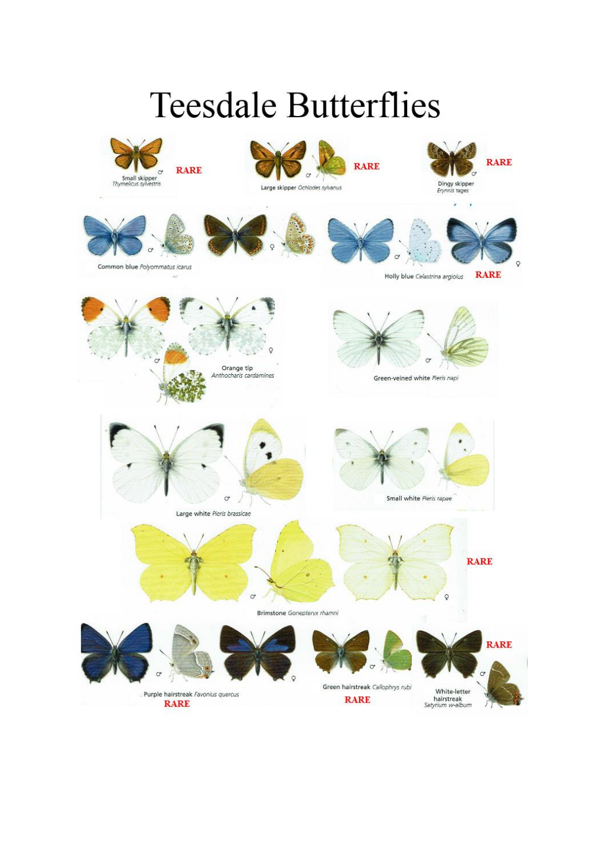## **Teesdale Butterflies**